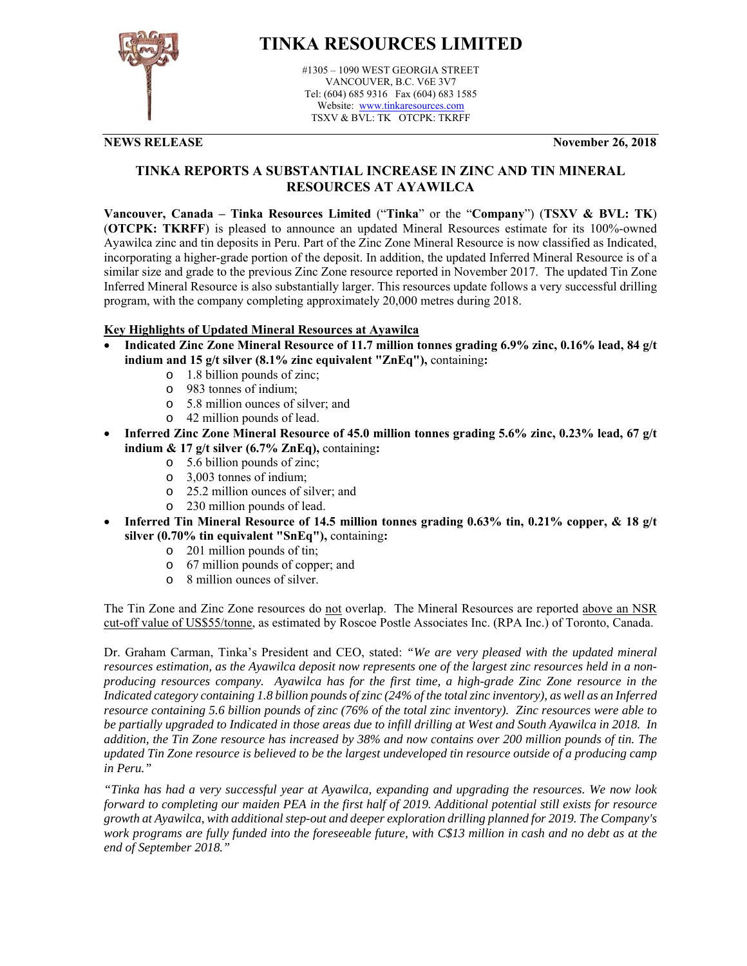

# **TINKA RESOURCES LIMITED**

#1305 – 1090 WEST GEORGIA STREET VANCOUVER, B.C. V6E 3V7 Tel: (604) 685 9316 Fax (604) 683 1585 Website: www.tinkaresources.com TSXV & BVL: TK OTCPK: TKRFF

**NEWS RELEASE November 26, 2018**

# **TINKA REPORTS A SUBSTANTIAL INCREASE IN ZINC AND TIN MINERAL RESOURCES AT AYAWILCA**

**Vancouver, Canada – Tinka Resources Limited** ("**Tinka**" or the "**Company**") (**TSXV & BVL: TK**) (**OTCPK: TKRFF**) is pleased to announce an updated Mineral Resources estimate for its 100%-owned Ayawilca zinc and tin deposits in Peru. Part of the Zinc Zone Mineral Resource is now classified as Indicated, incorporating a higher-grade portion of the deposit. In addition, the updated Inferred Mineral Resource is of a similar size and grade to the previous Zinc Zone resource reported in November 2017. The updated Tin Zone Inferred Mineral Resource is also substantially larger. This resources update follows a very successful drilling program, with the company completing approximately 20,000 metres during 2018.

## **Key Highlights of Updated Mineral Resources at Ayawilca**

- **Indicated Zinc Zone Mineral Resource of 11.7 million tonnes grading 6.9% zinc, 0.16% lead, 84 g/t indium and 15 g/t silver (8.1% zinc equivalent "ZnEq"),** containing**:** 
	- o 1.8 billion pounds of zinc;
	- o 983 tonnes of indium;
	- o 5.8 million ounces of silver; and
	- o 42 million pounds of lead.
- **Inferred Zinc Zone Mineral Resource of 45.0 million tonnes grading 5.6% zinc, 0.23% lead, 67 g/t indium & 17 g/t silver (6.7% ZnEq),** containing**:** 
	- o 5.6 billion pounds of zinc;
	- o 3,003 tonnes of indium;
	- o 25.2 million ounces of silver; and
	- o 230 million pounds of lead.
- **Inferred Tin Mineral Resource of 14.5 million tonnes grading 0.63% tin, 0.21% copper, & 18 g/t silver (0.70% tin equivalent "SnEq"),** containing**:** 
	- o 201 million pounds of tin;
	- o 67 million pounds of copper; and
	- o 8 million ounces of silver.

The Tin Zone and Zinc Zone resources do not overlap. The Mineral Resources are reported above an NSR cut-off value of US\$55/tonne, as estimated by Roscoe Postle Associates Inc. (RPA Inc.) of Toronto, Canada.

Dr. Graham Carman, Tinka's President and CEO, stated: *"We are very pleased with the updated mineral resources estimation, as the Ayawilca deposit now represents one of the largest zinc resources held in a nonproducing resources company. Ayawilca has for the first time, a high-grade Zinc Zone resource in the Indicated category containing 1.8 billion pounds of zinc (24% of the total zinc inventory), as well as an Inferred resource containing 5.6 billion pounds of zinc (76% of the total zinc inventory). Zinc resources were able to be partially upgraded to Indicated in those areas due to infill drilling at West and South Ayawilca in 2018. In addition, the Tin Zone resource has increased by 38% and now contains over 200 million pounds of tin. The updated Tin Zone resource is believed to be the largest undeveloped tin resource outside of a producing camp in Peru."* 

*"Tinka has had a very successful year at Ayawilca, expanding and upgrading the resources. We now look forward to completing our maiden PEA in the first half of 2019. Additional potential still exists for resource growth at Ayawilca, with additional step-out and deeper exploration drilling planned for 2019. The Company's work programs are fully funded into the foreseeable future, with C\$13 million in cash and no debt as at the end of September 2018."*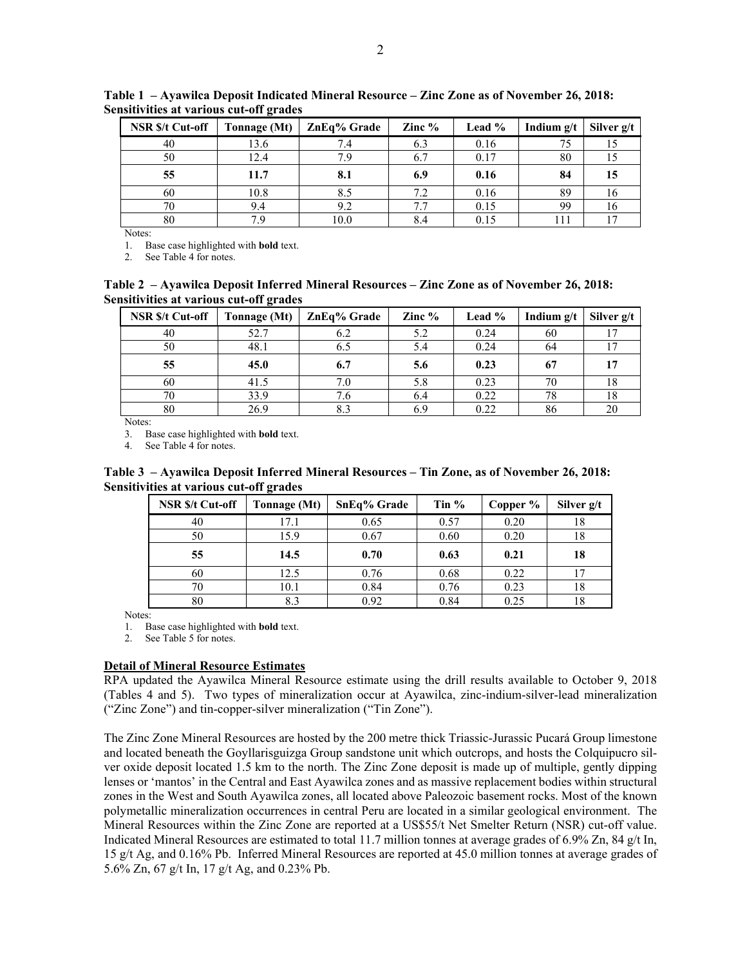| <b>NSR \$/t Cut-off</b> | Tonnage (Mt) | ZnEq% Grade | Zinc $%$ | Lead % | Indium $g/t$ | Silver g/t |
|-------------------------|--------------|-------------|----------|--------|--------------|------------|
| 40                      | 13.6         | 7.4         | 6.3      | 0.16   | 75           |            |
| 50                      | 12.4         | 7.9         |          | 0.17   | 80           |            |
| 55                      | 11.7         | 8.1         | 6.9      | 0.16   | 84           | 15         |
| 60                      | 10.8         | 8.5         | 7.2      | 0.16   | 89           | 10         |
| 70                      | 9.4          | 9.2         | 77       | 0.15   | 99           | 16         |
| 80                      | 79           | 10.0        |          | 0.15   |              |            |

**Table 1 – Ayawilca Deposit Indicated Mineral Resource – Zinc Zone as of November 26, 2018: Sensitivities at various cut-off grades** 

Notes:

1. Base case highlighted with **bold** text.

2. See Table 4 for notes.

**Table 2 – Ayawilca Deposit Inferred Mineral Resources – Zinc Zone as of November 26, 2018: Sensitivities at various cut-off grades** 

| <b>NSR \$/t Cut-off</b> | Tonnage (Mt) | ZnEq% Grade | Zinc $%$ | Lead $%$ | Indium $g/t$ | Silver g/t |
|-------------------------|--------------|-------------|----------|----------|--------------|------------|
| 40                      | 52.7         | 6.2         | 5.2      | 0.24     | 60           |            |
| 50                      | 48.1         | 6.5         | 5.4      | 0.24     | 64           |            |
| 55                      | 45.0         | 6.7         | 5.6      | 0.23     | 67           |            |
| 60                      | 41.5         | 7.0         | 5.8      | 0.23     | 70           | 18         |
| 70                      | 33.9         | 7.6         | 6.4      | 0.22     | 78           | 18         |
| 80                      | 26.9         | 8.3         |          | 0.22     | 86           | 20         |

Notes:

3. Base case highlighted with **bold** text.

4. See Table 4 for notes.

**Table 3 – Ayawilca Deposit Inferred Mineral Resources – Tin Zone, as of November 26, 2018: Sensitivities at various cut-off grades** 

| <b>NSR \$/t Cut-off</b> | Tonnage (Mt) | <b>SnEq% Grade</b> | Tin $%$ | Copper % | Silver g/t |
|-------------------------|--------------|--------------------|---------|----------|------------|
| 40                      | 17.1         | 0.65               | 0.57    | 0.20     | 18         |
| 50                      | 15.9         | 0.67               | 0.60    | 0.20     | 18         |
| 55                      | 14.5         | 0.70               | 0.63    | 0.21     | 18         |
| 60                      | 12.5         | 0.76               | 0.68    | 0.22     |            |
| 70                      | 10.1         | 0.84               | 0.76    | 0.23     | 18         |
| 80                      | 8.3          | 0.92               | 0.84    | 0.25     | 18         |

Notes:

1. Base case highlighted with **bold** text.

2. See Table 5 for notes.

### **Detail of Mineral Resource Estimates**

RPA updated the Ayawilca Mineral Resource estimate using the drill results available to October 9, 2018 (Tables 4 and 5). Two types of mineralization occur at Ayawilca, zinc-indium-silver-lead mineralization ("Zinc Zone") and tin-copper-silver mineralization ("Tin Zone").

The Zinc Zone Mineral Resources are hosted by the 200 metre thick Triassic-Jurassic Pucará Group limestone and located beneath the Goyllarisguizga Group sandstone unit which outcrops, and hosts the Colquipucro silver oxide deposit located 1.5 km to the north. The Zinc Zone deposit is made up of multiple, gently dipping lenses or 'mantos' in the Central and East Ayawilca zones and as massive replacement bodies within structural zones in the West and South Ayawilca zones, all located above Paleozoic basement rocks. Most of the known polymetallic mineralization occurrences in central Peru are located in a similar geological environment. The Mineral Resources within the Zinc Zone are reported at a US\$55/t Net Smelter Return (NSR) cut-off value. Indicated Mineral Resources are estimated to total 11.7 million tonnes at average grades of 6.9% Zn, 84 g/t In, 15 g/t Ag, and 0.16% Pb. Inferred Mineral Resources are reported at 45.0 million tonnes at average grades of 5.6% Zn, 67 g/t In, 17 g/t Ag, and 0.23% Pb.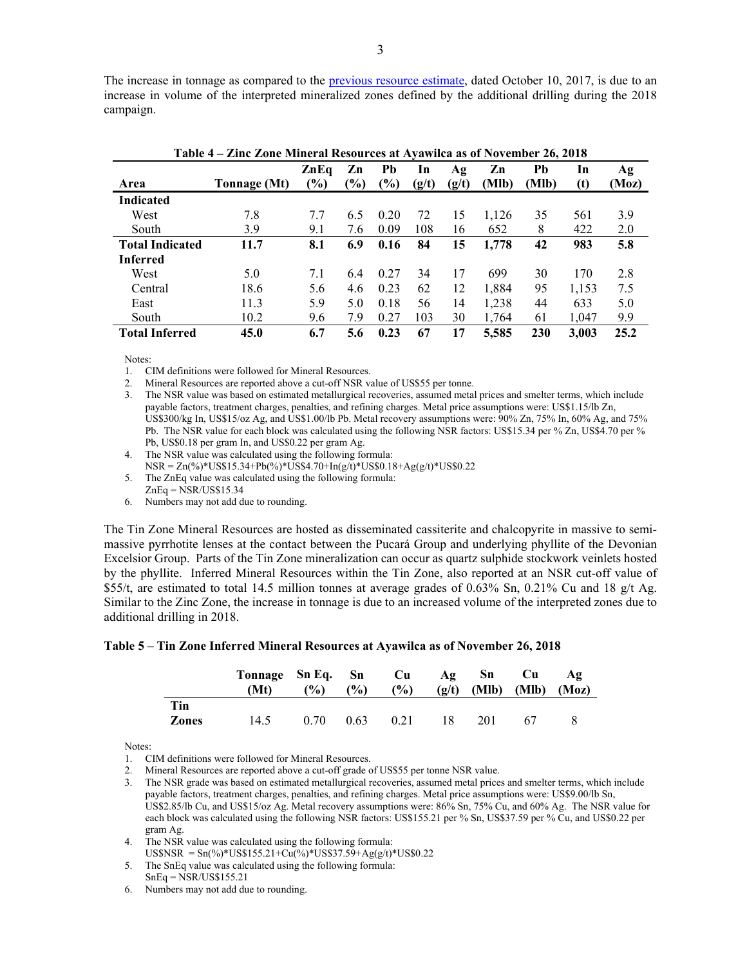The increase in tonnage as compared to the previous resource estimate, dated October 10, 2017, is due to an increase in volume of the interpreted mineralized zones defined by the additional drilling during the 2018 campaign.

| Table 4 – Zinc Zone Mineral Resources at Ayawilca as of November 26, 2018 |              |                       |              |              |       |       |             |             |       |             |
|---------------------------------------------------------------------------|--------------|-----------------------|--------------|--------------|-------|-------|-------------|-------------|-------|-------------|
| Area                                                                      |              | ZnEq<br>$\frac{1}{2}$ | Zn<br>$(\%)$ | Pb<br>$(\%)$ | In    | Ag    | Zn<br>(Mlb) | Pb<br>(Mlb) | In    | Ag<br>(Moz) |
|                                                                           | Tonnage (Mt) |                       |              |              | (g/t) | (g/t) |             |             | (t)   |             |
| <b>Indicated</b>                                                          |              |                       |              |              |       |       |             |             |       |             |
| West                                                                      | 7.8          | 7.7                   | 6.5          | 0.20         | 72    | 15    | 1,126       | 35          | 561   | 3.9         |
| South                                                                     | 3.9          | 9.1                   | 7.6          | 0.09         | 108   | 16    | 652         | 8           | 422   | 2.0         |
| <b>Total Indicated</b>                                                    | 11.7         | 8.1                   | 6.9          | 0.16         | 84    | 15    | 1,778       | 42          | 983   | 5.8         |
| <b>Inferred</b>                                                           |              |                       |              |              |       |       |             |             |       |             |
| West                                                                      | 5.0          | 7.1                   | 6.4          | 0.27         | 34    | 17    | 699         | 30          | 170   | 2.8         |
| Central                                                                   | 18.6         | 5.6                   | 4.6          | 0.23         | 62    | 12    | 1,884       | 95          | 1,153 | 7.5         |
| East                                                                      | 11.3         | 5.9                   | 5.0          | 0.18         | 56    | 14    | 1,238       | 44          | 633   | 5.0         |
| South                                                                     | 10.2         | 9.6                   | 7.9          | 0.27         | 103   | 30    | 1.764       | 61          | 1,047 | 9.9         |
| <b>Total Inferred</b>                                                     | 45.0         | 6.7                   | 5.6          | 0.23         | 67    | 17    | 5,585       | 230         | 3.003 | 25.2        |

Notes:

1. CIM definitions were followed for Mineral Resources.

2. Mineral Resources are reported above a cut-off NSR value of US\$55 per tonne.

3. The NSR value was based on estimated metallurgical recoveries, assumed metal prices and smelter terms, which include payable factors, treatment charges, penalties, and refining charges. Metal price assumptions were: US\$1.15/lb Zn, US\$300/kg In, US\$15/oz Ag, and US\$1.00/lb Pb. Metal recovery assumptions were: 90% Zn, 75% In, 60% Ag, and 75% Pb. The NSR value for each block was calculated using the following NSR factors: US\$15.34 per % Zn, US\$4.70 per % Pb, US\$0.18 per gram In, and US\$0.22 per gram Ag.

4. The NSR value was calculated using the following formula: NSR = Zn(%)\*US\$15.34+Pb(%)\*US\$4.70+In(g/t)\*US\$0.18+Ag(g/t)\*US\$0.22

5. The ZnEq value was calculated using the following formula:

 $ZnEq = \overline{NSR}/US\$  15.34

6. Numbers may not add due to rounding.

The Tin Zone Mineral Resources are hosted as disseminated cassiterite and chalcopyrite in massive to semimassive pyrrhotite lenses at the contact between the Pucará Group and underlying phyllite of the Devonian Excelsior Group. Parts of the Tin Zone mineralization can occur as quartz sulphide stockwork veinlets hosted by the phyllite. Inferred Mineral Resources within the Tin Zone, also reported at an NSR cut-off value of \$55/t, are estimated to total 14.5 million tonnes at average grades of 0.63% Sn, 0.21% Cu and 18 g/t Ag. Similar to the Zinc Zone, the increase in tonnage is due to an increased volume of the interpreted zones due to additional drilling in 2018.

#### **Table 5 – Tin Zone Inferred Mineral Resources at Ayawilca as of November 26, 2018**

|                     | Tonnage Sn Eq. Sn<br>(Mt) | $($ %) | $\frac{6}{2}$ | $\mathbf{C}\mathbf{u}$<br>$(\%)$ |    | $Ag$ Sn<br>$(g/t)$ (Mlb) | Cu<br>(Mlb) | AΩ<br>(Moz) |
|---------------------|---------------------------|--------|---------------|----------------------------------|----|--------------------------|-------------|-------------|
| Tin<br><b>Zones</b> | 14.5                      | 0.70   | 0.63          | 0.21                             | 18 | 201                      | 67          |             |

Notes:

1. CIM definitions were followed for Mineral Resources.

2. Mineral Resources are reported above a cut-off grade of US\$55 per tonne NSR value.

3. The NSR grade was based on estimated metallurgical recoveries, assumed metal prices and smelter terms, which include payable factors, treatment charges, penalties, and refining charges. Metal price assumptions were: US\$9.00/lb Sn, US\$2.85/lb Cu, and US\$15/oz Ag. Metal recovery assumptions were: 86% Sn, 75% Cu, and 60% Ag. The NSR value for each block was calculated using the following NSR factors: US\$155.21 per % Sn, US\$37.59 per % Cu, and US\$0.22 per gram Ag.

4. The NSR value was calculated using the following formula:

US\$NSR =  $Sn(\%)$ \*US\$155.21+Cu(%)\*US\$37.59+Ag(g/t)\*US\$0.22

5. The SnEq value was calculated using the following formula: SnEq = NSR/US\$155.21

6. Numbers may not add due to rounding.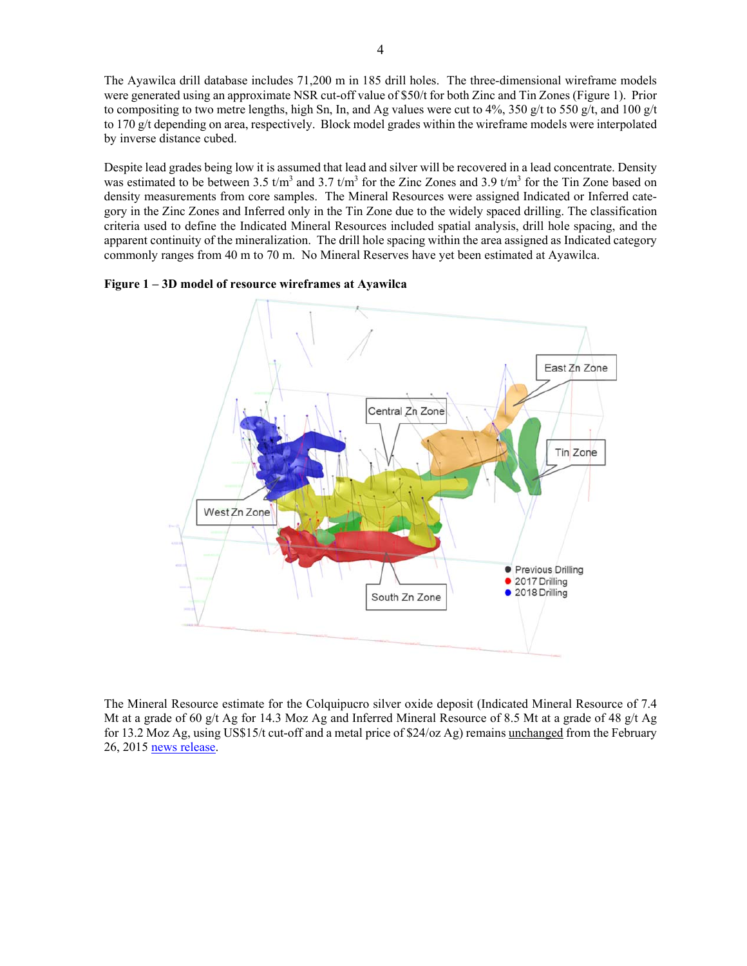The Ayawilca drill database includes 71,200 m in 185 drill holes. The three-dimensional wireframe models were generated using an approximate NSR cut-off value of \$50/t for both Zinc and Tin Zones (Figure 1). Prior to compositing to two metre lengths, high Sn, In, and Ag values were cut to 4%, 350 g/t to 550 g/t, and 100 g/t to 170 g/t depending on area, respectively. Block model grades within the wireframe models were interpolated by inverse distance cubed.

Despite lead grades being low it is assumed that lead and silver will be recovered in a lead concentrate. Density was estimated to be between 3.5  $t/m^3$  and 3.7  $t/m^3$  for the Zinc Zones and 3.9  $t/m^3$  for the Tin Zone based on density measurements from core samples. The Mineral Resources were assigned Indicated or Inferred category in the Zinc Zones and Inferred only in the Tin Zone due to the widely spaced drilling. The classification criteria used to define the Indicated Mineral Resources included spatial analysis, drill hole spacing, and the apparent continuity of the mineralization. The drill hole spacing within the area assigned as Indicated category commonly ranges from 40 m to 70 m. No Mineral Reserves have yet been estimated at Ayawilca.





The Mineral Resource estimate for the Colquipucro silver oxide deposit (Indicated Mineral Resource of 7.4 Mt at a grade of 60 g/t Ag for 14.3 Moz Ag and Inferred Mineral Resource of 8.5 Mt at a grade of 48 g/t Ag for 13.2 Moz Ag, using US\$15/t cut-off and a metal price of \$24/oz Ag) remains unchanged from the February 26, 2015 news release.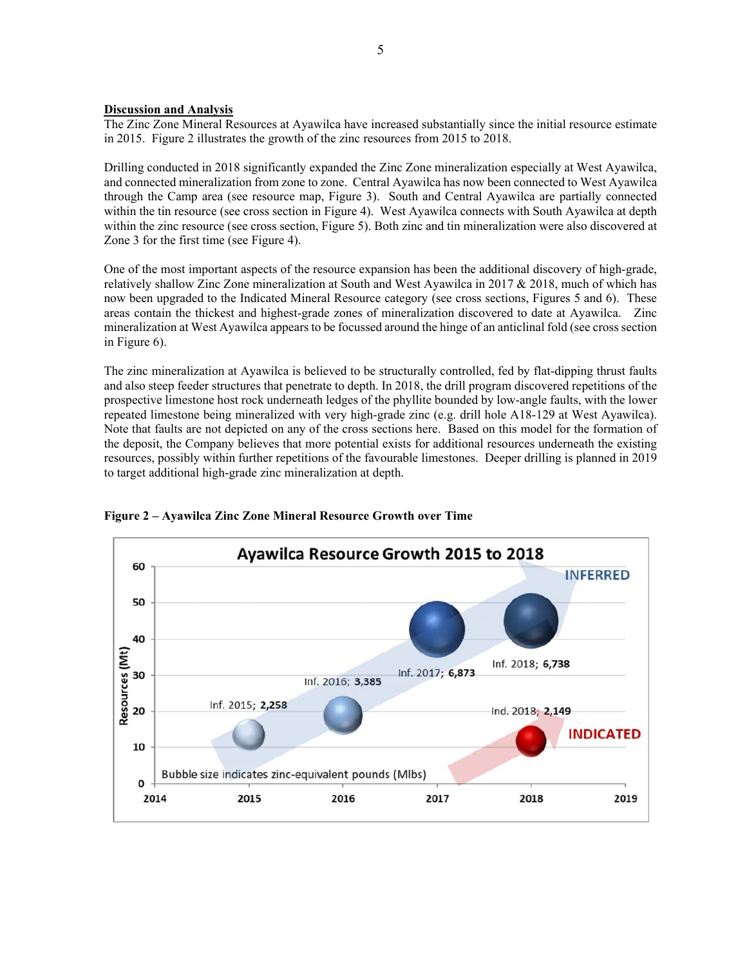#### **Discussion and Analysis**

The Zinc Zone Mineral Resources at Ayawilca have increased substantially since the initial resource estimate in 2015. Figure 2 illustrates the growth of the zinc resources from 2015 to 2018.

Drilling conducted in 2018 significantly expanded the Zinc Zone mineralization especially at West Ayawilca, and connected mineralization from zone to zone. Central Ayawilca has now been connected to West Ayawilca through the Camp area (see resource map, Figure 3). South and Central Ayawilca are partially connected within the tin resource (see cross section in Figure 4). West Ayawilca connects with South Ayawilca at depth within the zinc resource (see cross section, Figure 5). Both zinc and tin mineralization were also discovered at Zone 3 for the first time (see Figure 4).

One of the most important aspects of the resource expansion has been the additional discovery of high-grade, relatively shallow Zinc Zone mineralization at South and West Ayawilca in 2017 & 2018, much of which has now been upgraded to the Indicated Mineral Resource category (see cross sections, Figures 5 and 6). These areas contain the thickest and highest-grade zones of mineralization discovered to date at Ayawilca. Zinc mineralization at West Ayawilca appears to be focussed around the hinge of an anticlinal fold (see cross section in Figure 6).

The zinc mineralization at Ayawilca is believed to be structurally controlled, fed by flat-dipping thrust faults and also steep feeder structures that penetrate to depth. In 2018, the drill program discovered repetitions of the prospective limestone host rock underneath ledges of the phyllite bounded by low-angle faults, with the lower repeated limestone being mineralized with very high-grade zinc (e.g. drill hole A18-129 at West Ayawilca). Note that faults are not depicted on any of the cross sections here. Based on this model for the formation of the deposit, the Company believes that more potential exists for additional resources underneath the existing resources, possibly within further repetitions of the favourable limestones. Deeper drilling is planned in 2019 to target additional high-grade zinc mineralization at depth.



**Figure 2 – Ayawilca Zinc Zone Mineral Resource Growth over Time**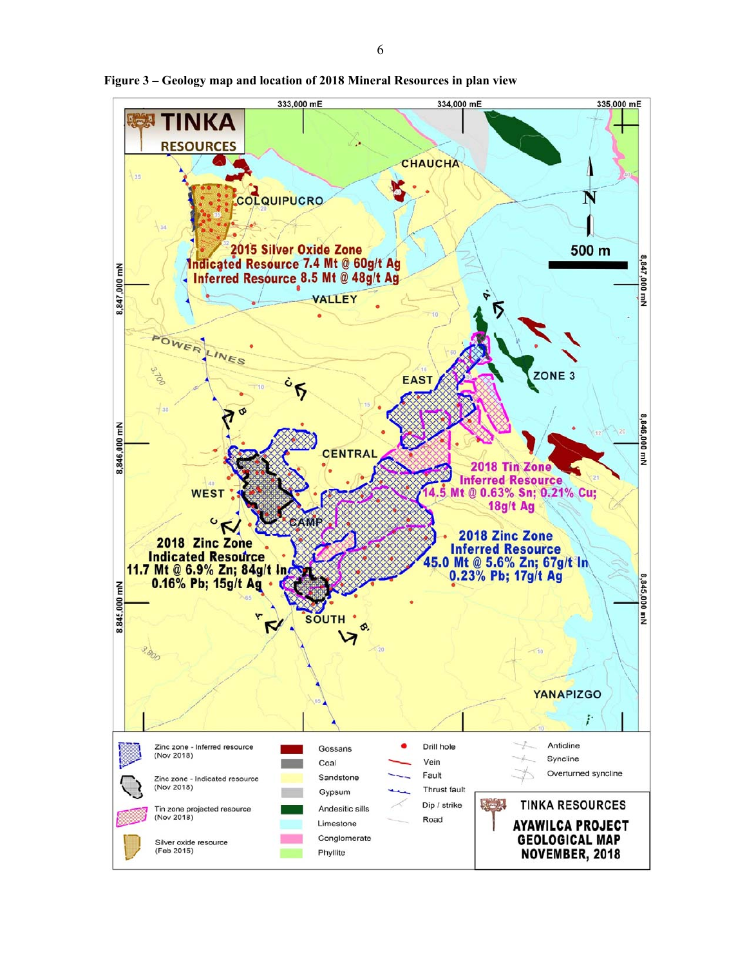

**Figure 3 – Geology map and location of 2018 Mineral Resources in plan view**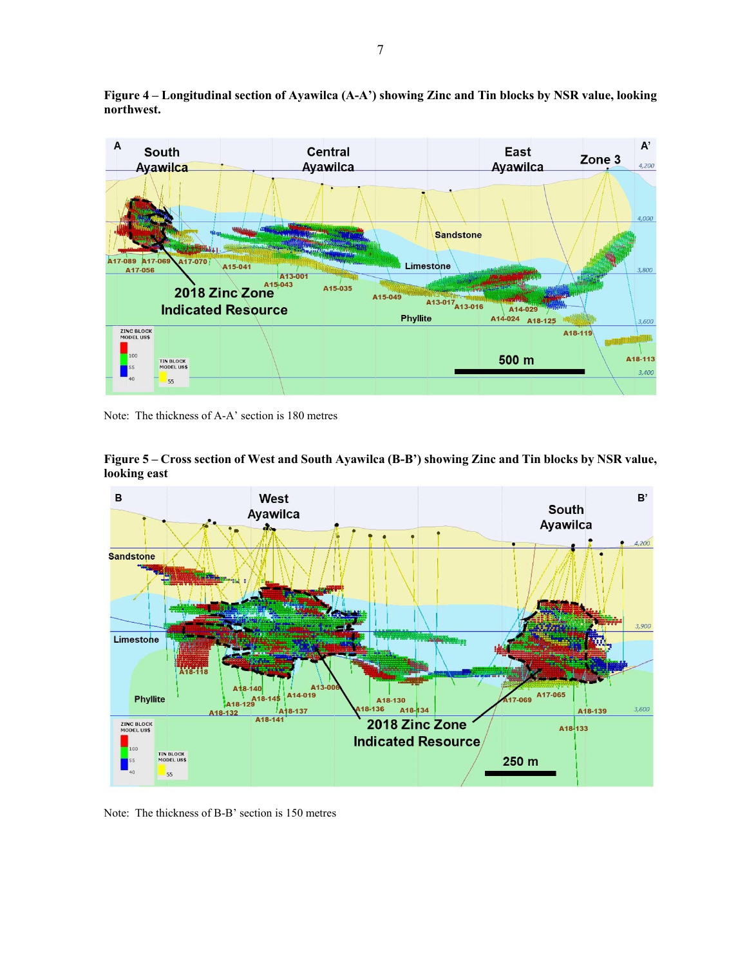**Figure 4 – Longitudinal section of Ayawilca (A-A') showing Zinc and Tin blocks by NSR value, looking northwest.** 



Note: The thickness of A-A' section is 180 metres



**Figure 5 – Cross section of West and South Ayawilca (B-B') showing Zinc and Tin blocks by NSR value, looking east** 

Note: The thickness of B-B' section is 150 metres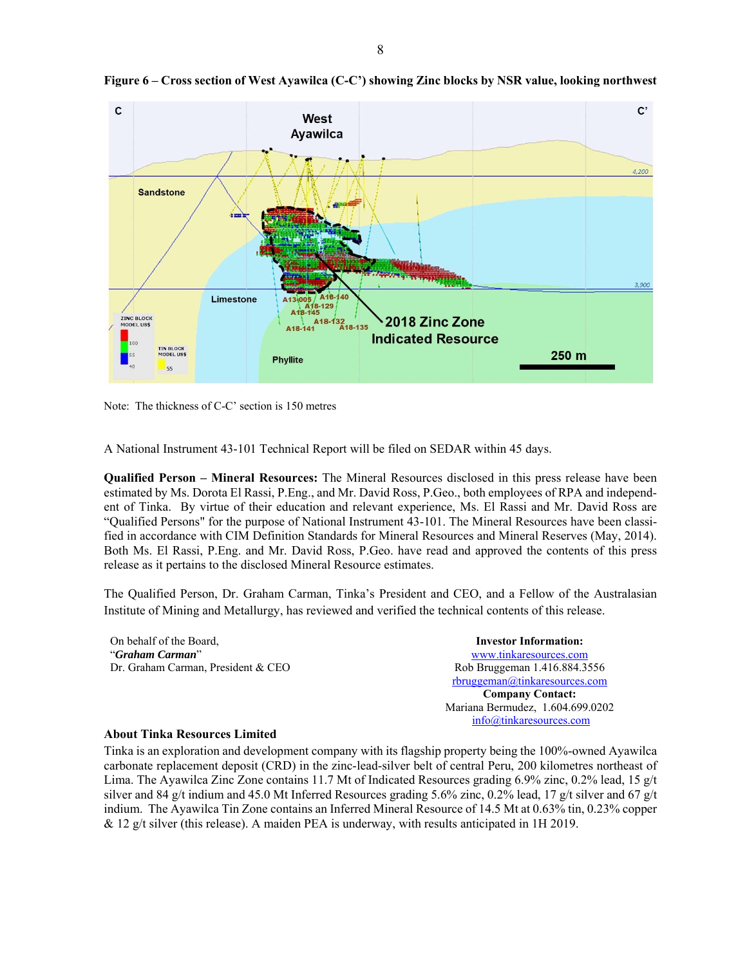



Note: The thickness of C-C' section is 150 metres

A National Instrument 43-101 Technical Report will be filed on SEDAR within 45 days.

**Qualified Person – Mineral Resources:** The Mineral Resources disclosed in this press release have been estimated by Ms. Dorota El Rassi, P.Eng., and Mr. David Ross, P.Geo., both employees of RPA and independent of Tinka. By virtue of their education and relevant experience, Ms. El Rassi and Mr. David Ross are "Qualified Persons" for the purpose of National Instrument 43-101. The Mineral Resources have been classified in accordance with CIM Definition Standards for Mineral Resources and Mineral Reserves (May, 2014). Both Ms. El Rassi, P.Eng. and Mr. David Ross, P.Geo. have read and approved the contents of this press release as it pertains to the disclosed Mineral Resource estimates.

The Qualified Person, Dr. Graham Carman, Tinka's President and CEO, and a Fellow of the Australasian Institute of Mining and Metallurgy, has reviewed and verified the technical contents of this release.

| On behalf of the Board,            | <b>Investor Information:</b>     |
|------------------------------------|----------------------------------|
| "Graham Carman"                    | www.tinkaresources.com           |
| Dr. Graham Carman, President & CEO | Rob Bruggeman 1.416.884.3556     |
|                                    | rbruggeman@tinkaresources.com    |
|                                    | <b>Company Contact:</b>          |
|                                    | Mariana Bermudez, 1.604.699.0202 |

#### **About Tinka Resources Limited**

Tinka is an exploration and development company with its flagship property being the 100%-owned Ayawilca carbonate replacement deposit (CRD) in the zinc-lead-silver belt of central Peru, 200 kilometres northeast of Lima. The Ayawilca Zinc Zone contains 11.7 Mt of Indicated Resources grading 6.9% zinc, 0.2% lead, 15 g/t silver and 84 g/t indium and 45.0 Mt Inferred Resources grading 5.6% zinc, 0.2% lead, 17 g/t silver and 67 g/t indium. The Ayawilca Tin Zone contains an Inferred Mineral Resource of 14.5 Mt at 0.63% tin, 0.23% copper & 12 g/t silver (this release). A maiden PEA is underway, with results anticipated in 1H 2019.

info@tinkaresources.com